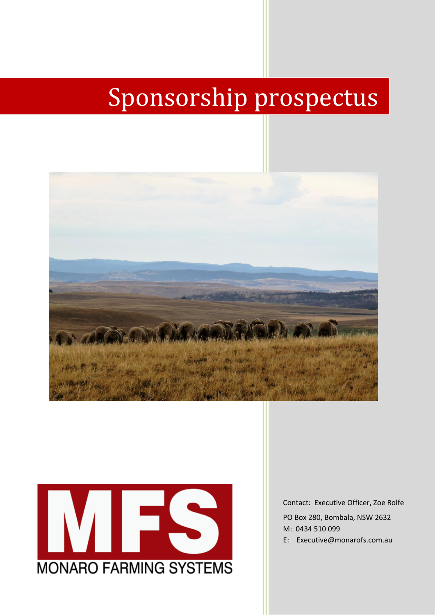# Sponsorship prospectus





Contact: Executive Officer, Zoe Rolfe

PO Box 280, Bombala, NSW 2632 M: 0434 510 099

E: Executive@monarofs.com.au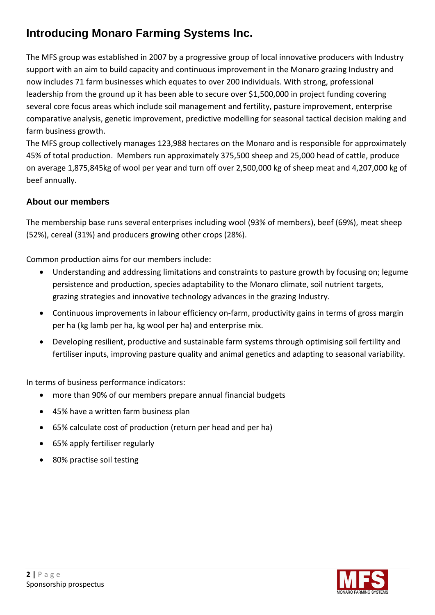# **Introducing Monaro Farming Systems Inc.**

The MFS group was established in 2007 by a progressive group of local innovative producers with Industry support with an aim to build capacity and continuous improvement in the Monaro grazing Industry and now includes 71 farm businesses which equates to over 200 individuals. With strong, professional leadership from the ground up it has been able to secure over \$1,500,000 in project funding covering several core focus areas which include soil management and fertility, pasture improvement, enterprise comparative analysis, genetic improvement, predictive modelling for seasonal tactical decision making and farm business growth.

The MFS group collectively manages 123,988 hectares on the Monaro and is responsible for approximately 45% of total production. Members run approximately 375,500 sheep and 25,000 head of cattle, produce on average 1,875,845kg of wool per year and turn off over 2,500,000 kg of sheep meat and 4,207,000 kg of beef annually.

# **About our members**

The membership base runs several enterprises including wool (93% of members), beef (69%), meat sheep (52%), cereal (31%) and producers growing other crops (28%).

Common production aims for our members include:

- Understanding and addressing limitations and constraints to pasture growth by focusing on; legume persistence and production, species adaptability to the Monaro climate, soil nutrient targets, grazing strategies and innovative technology advances in the grazing Industry.
- Continuous improvements in labour efficiency on-farm, productivity gains in terms of gross margin per ha (kg lamb per ha, kg wool per ha) and enterprise mix.
- Developing resilient, productive and sustainable farm systems through optimising soil fertility and fertiliser inputs, improving pasture quality and animal genetics and adapting to seasonal variability.

In terms of business performance indicators:

- more than 90% of our members prepare annual financial budgets
- 45% have a written farm business plan
- 65% calculate cost of production (return per head and per ha)
- 65% apply fertiliser regularly
- 80% practise soil testing

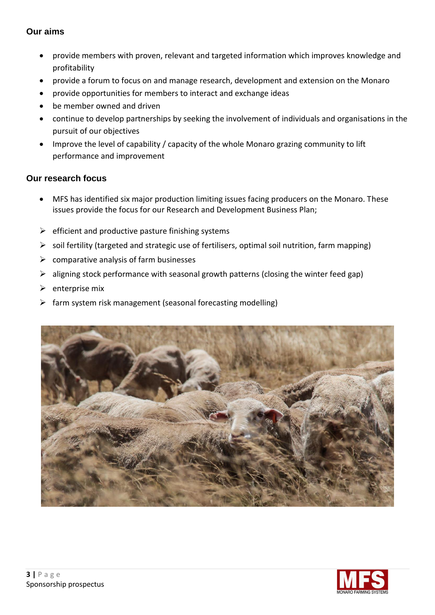#### **Our aims**

- provide members with proven, relevant and targeted information which improves knowledge and profitability
- provide a forum to focus on and manage research, development and extension on the Monaro
- provide opportunities for members to interact and exchange ideas
- be member owned and driven
- continue to develop partnerships by seeking the involvement of individuals and organisations in the pursuit of our objectives
- Improve the level of capability / capacity of the whole Monaro grazing community to lift performance and improvement

# **Our research focus**

- MFS has identified six major production limiting issues facing producers on the Monaro. These issues provide the focus for our Research and Development Business Plan;
- $\triangleright$  efficient and productive pasture finishing systems
- $\triangleright$  soil fertility (targeted and strategic use of fertilisers, optimal soil nutrition, farm mapping)
- $\triangleright$  comparative analysis of farm businesses
- $\triangleright$  aligning stock performance with seasonal growth patterns (closing the winter feed gap)
- $\triangleright$  enterprise mix
- $\triangleright$  farm system risk management (seasonal forecasting modelling)



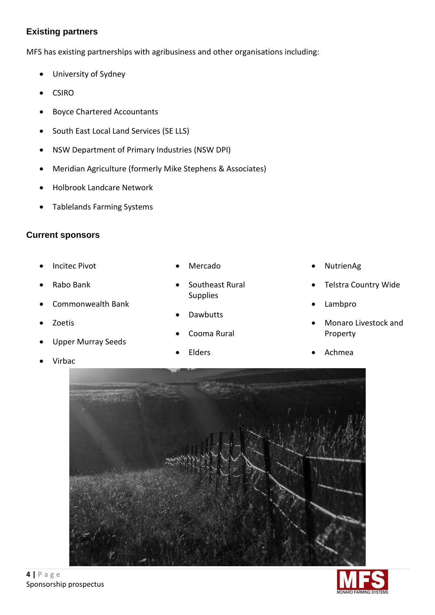## **Existing partners**

MFS has existing partnerships with agribusiness and other organisations including:

- University of Sydney
- CSIRO
- Boyce Chartered Accountants
- South East Local Land Services (SE LLS)
- NSW Department of Primary Industries (NSW DPI)
- Meridian Agriculture (formerly Mike Stephens & Associates)
- Holbrook Landcare Network
- Tablelands Farming Systems

## **Current sponsors**

- Incitec Pivot
- Rabo Bank
- Commonwealth Bank
- Zoetis
- Upper Murray Seeds
- Virbac
- Mercado
- Southeast Rural Supplies
- Dawbutts
- Cooma Rural
- **Elders**
- NutrienAg
- Telstra Country Wide
- Lambpro
- Monaro Livestock and Property
- Achmea



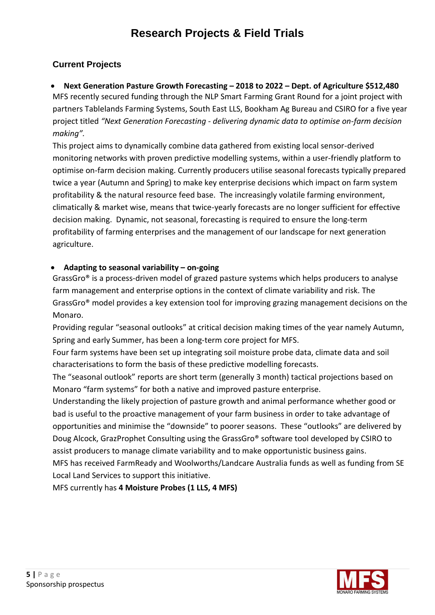# **Research Projects & Field Trials**

# **Current Projects**

## • **Next Generation Pasture Growth Forecasting – 2018 to 2022 – Dept. of Agriculture \$512,480**

MFS recently secured funding through the NLP Smart Farming Grant Round for a joint project with partners Tablelands Farming Systems, South East LLS, Bookham Ag Bureau and CSIRO for a five year project titled *"Next Generation Forecasting - delivering dynamic data to optimise on-farm decision making".*

This project aims to dynamically combine data gathered from existing local sensor-derived monitoring networks with proven predictive modelling systems, within a user-friendly platform to optimise on-farm decision making. Currently producers utilise seasonal forecasts typically prepared twice a year (Autumn and Spring) to make key enterprise decisions which impact on farm system profitability & the natural resource feed base. The increasingly volatile farming environment, climatically & market wise, means that twice-yearly forecasts are no longer sufficient for effective decision making. Dynamic, not seasonal, forecasting is required to ensure the long-term profitability of farming enterprises and the management of our landscape for next generation agriculture.

#### • **Adapting to seasonal variability – on-going**

GrassGro® is a process-driven model of grazed pasture systems which helps producers to analyse farm management and enterprise options in the context of climate variability and risk. The GrassGro® model provides a key extension tool for improving grazing management decisions on the Monaro.

Providing regular "seasonal outlooks" at critical decision making times of the year namely Autumn, Spring and early Summer, has been a long-term core project for MFS.

Four farm systems have been set up integrating soil moisture probe data, climate data and soil characterisations to form the basis of these predictive modelling forecasts.

The "seasonal outlook" reports are short term (generally 3 month) tactical projections based on Monaro "farm systems" for both a native and improved pasture enterprise.

Understanding the likely projection of pasture growth and animal performance whether good or bad is useful to the proactive management of your farm business in order to take advantage of opportunities and minimise the "downside" to poorer seasons. These "outlooks" are delivered by Doug Alcock, GrazProphet Consulting using the GrassGro® software tool developed by CSIRO to assist producers to manage climate variability and to make opportunistic business gains. MFS has received FarmReady and Woolworths/Landcare Australia funds as well as funding from SE Local Land Services to support this initiative.

MFS currently has **4 Moisture Probes (1 LLS, 4 MFS)**

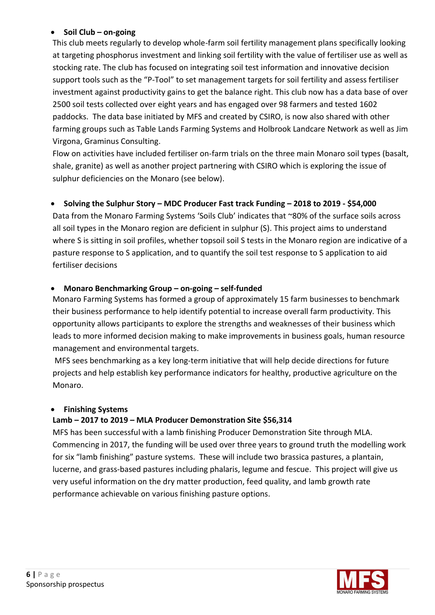## • **Soil Club – on-going**

This club meets regularly to develop whole-farm soil fertility management plans specifically looking at targeting phosphorus investment and linking soil fertility with the value of fertiliser use as well as stocking rate. The club has focused on integrating soil test information and innovative decision support tools such as the "P-Tool" to set management targets for soil fertility and assess fertiliser investment against productivity gains to get the balance right. This club now has a data base of over 2500 soil tests collected over eight years and has engaged over 98 farmers and tested 1602 paddocks. The data base initiated by MFS and created by CSIRO, is now also shared with other farming groups such as Table Lands Farming Systems and Holbrook Landcare Network as well as Jim Virgona, Graminus Consulting.

Flow on activities have included fertiliser on-farm trials on the three main Monaro soil types (basalt, shale, granite) as well as another project partnering with CSIRO which is exploring the issue of sulphur deficiencies on the Monaro (see below).

# • **Solving the Sulphur Story – MDC Producer Fast track Funding – 2018 to 2019 - \$54,000**

Data from the Monaro Farming Systems 'Soils Club' indicates that ~80% of the surface soils across all soil types in the Monaro region are deficient in sulphur (S). This project aims to understand where S is sitting in soil profiles, whether topsoil soil S tests in the Monaro region are indicative of a pasture response to S application, and to quantify the soil test response to S application to aid fertiliser decisions

# • **Monaro Benchmarking Group – on-going – self-funded**

Monaro Farming Systems has formed a group of approximately 15 farm businesses to benchmark their business performance to help identify potential to increase overall farm productivity. This opportunity allows participants to explore the strengths and weaknesses of their business which leads to more informed decision making to make improvements in business goals, human resource management and environmental targets.

MFS sees benchmarking as a key long-term initiative that will help decide directions for future projects and help establish key performance indicators for healthy, productive agriculture on the Monaro.

## • **Finishing Systems**

# **Lamb – 2017 to 2019 – MLA Producer Demonstration Site \$56,314**

MFS has been successful with a lamb finishing Producer Demonstration Site through MLA. Commencing in 2017, the funding will be used over three years to ground truth the modelling work for six "lamb finishing" pasture systems. These will include two brassica pastures, a plantain, lucerne, and grass-based pastures including phalaris, legume and fescue. This project will give us very useful information on the dry matter production, feed quality, and lamb growth rate performance achievable on various finishing pasture options.

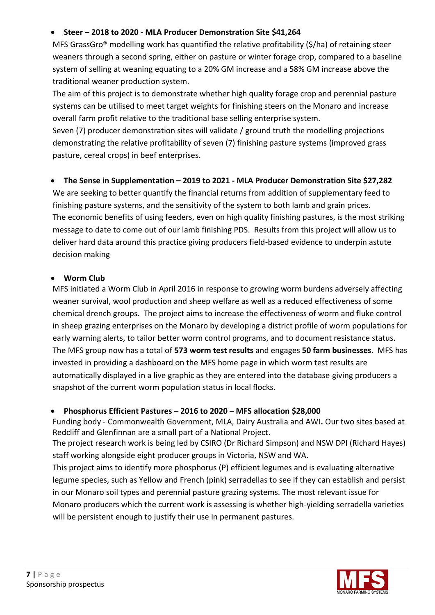## • **Steer – 2018 to 2020 - MLA Producer Demonstration Site \$41,264**

MFS GrassGro® modelling work has quantified the relative profitability (\$/ha) of retaining steer weaners through a second spring, either on pasture or winter forage crop, compared to a baseline system of selling at weaning equating to a 20% GM increase and a 58% GM increase above the traditional weaner production system.

The aim of this project is to demonstrate whether high quality forage crop and perennial pasture systems can be utilised to meet target weights for finishing steers on the Monaro and increase overall farm profit relative to the traditional base selling enterprise system.

Seven (7) producer demonstration sites will validate / ground truth the modelling projections demonstrating the relative profitability of seven (7) finishing pasture systems (improved grass pasture, cereal crops) in beef enterprises.

## • **The Sense in Supplementation – 2019 to 2021 - MLA Producer Demonstration Site \$27,282**

We are seeking to better quantify the financial returns from addition of supplementary feed to finishing pasture systems, and the sensitivity of the system to both lamb and grain prices. The economic benefits of using feeders, even on high quality finishing pastures, is the most striking message to date to come out of our lamb finishing PDS. Results from this project will allow us to deliver hard data around this practice giving producers field-based evidence to underpin astute decision making

#### • **Worm Club**

MFS initiated a Worm Club in April 2016 in response to growing worm burdens adversely affecting weaner survival, wool production and sheep welfare as well as a reduced effectiveness of some chemical drench groups. The project aims to increase the effectiveness of worm and fluke control in sheep grazing enterprises on the Monaro by developing a district profile of worm populations for early warning alerts, to tailor better worm control programs, and to document resistance status. The MFS group now has a total of **573 worm test results** and engages **50 farm businesses**. MFS has invested in providing a dashboard on the MFS home page in which worm test results are automatically displayed in a live graphic as they are entered into the database giving producers a snapshot of the current worm population status in local flocks.

## • **Phosphorus Efficient Pastures – 2016 to 2020 – MFS allocation \$28,000**

Funding body - Commonwealth Government, MLA, Dairy Australia and AWI**.** Our two sites based at Redcliff and Glenfinnan are a small part of a National Project.

The project research work is being led by CSIRO (Dr Richard Simpson) and NSW DPI (Richard Hayes) staff working alongside eight producer groups in Victoria, NSW and WA.

This project aims to identify more phosphorus (P) efficient legumes and is evaluating alternative legume species, such as Yellow and French (pink) serradellas to see if they can establish and persist in our Monaro soil types and perennial pasture grazing systems. The most relevant issue for Monaro producers which the current work is assessing is whether high-yielding serradella varieties will be persistent enough to justify their use in permanent pastures.

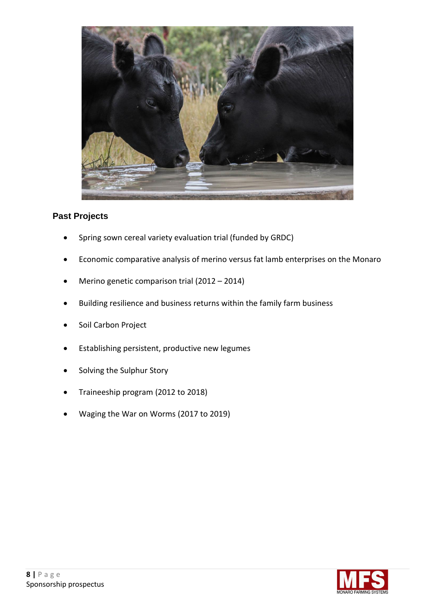

# **Past Projects**

- Spring sown cereal variety evaluation trial (funded by GRDC)
- Economic comparative analysis of merino versus fat lamb enterprises on the Monaro
- Merino genetic comparison trial (2012 2014)
- Building resilience and business returns within the family farm business
- Soil Carbon Project
- Establishing persistent, productive new legumes
- Solving the Sulphur Story
- Traineeship program (2012 to 2018)
- Waging the War on Worms (2017 to 2019)

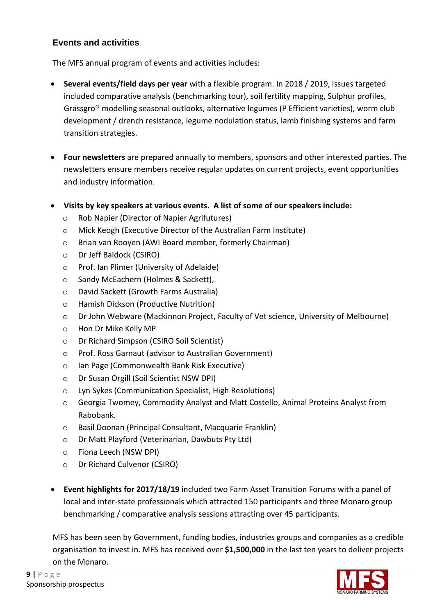# **Events and activities**

The MFS annual program of events and activities includes:

- **Several events/field days per year** with a flexible program. In 2018 / 2019, issues targeted included comparative analysis (benchmarking tour), soil fertility mapping, Sulphur profiles, Grassgro® modelling seasonal outlooks, alternative legumes (P Efficient varieties), worm club development / drench resistance, legume nodulation status, lamb finishing systems and farm transition strategies.
- **Four newsletters** are prepared annually to members, sponsors and other interested parties. The newsletters ensure members receive regular updates on current projects, event opportunities and industry information.
- **Visits by key speakers at various events. A list of some of our speakers include:**
	- o Rob Napier (Director of Napier Agrifutures)
	- o Mick Keogh (Executive Director of the Australian Farm Institute)
	- o Brian van Rooyen (AWI Board member, formerly Chairman)
	- o Dr Jeff Baldock (CSIRO)
	- o Prof. Ian Plimer (University of Adelaide)
	- o Sandy McEachern (Holmes & Sackett),
	- o David Sackett (Growth Farms Australia)
	- o Hamish Dickson (Productive Nutrition)
	- o Dr John Webware (Mackinnon Project, Faculty of Vet science, University of Melbourne)
	- o Hon Dr Mike Kelly MP
	- o Dr Richard Simpson (CSIRO Soil Scientist)
	- o Prof. Ross Garnaut (advisor to Australian Government)
	- o Ian Page (Commonwealth Bank Risk Executive)
	- o Dr Susan Orgill (Soil Scientist NSW DPI)
	- o Lyn Sykes (Communication Specialist, High Resolutions)
	- o Georgia Twomey, Commodity Analyst and Matt Costello, Animal Proteins Analyst from Rabobank.
	- o Basil Doonan (Principal Consultant, Macquarie Franklin)
	- o Dr Matt Playford (Veterinarian, Dawbuts Pty Ltd)
	- o Fiona Leech (NSW DPI)
	- o Dr Richard Culvenor (CSIRO)
- **Event highlights for 2017/18/19** included two Farm Asset Transition Forums with a panel of local and inter-state professionals which attracted 150 participants and three Monaro group benchmarking / comparative analysis sessions attracting over 45 participants.

MFS has been seen by Government, funding bodies, industries groups and companies as a credible organisation to invest in. MFS has received over **\$1,500,000** in the last ten years to deliver projects on the Monaro.

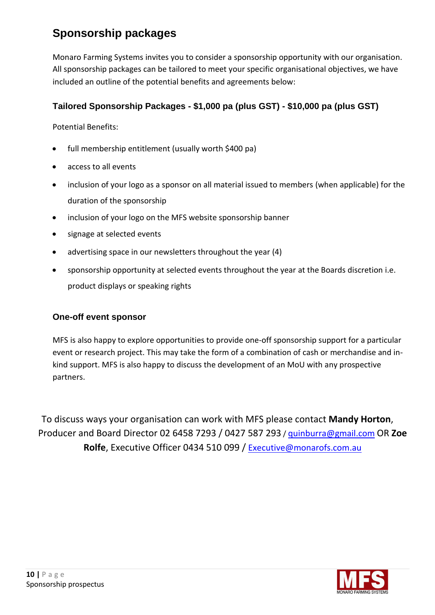# **Sponsorship packages**

Monaro Farming Systems invites you to consider a sponsorship opportunity with our organisation. All sponsorship packages can be tailored to meet your specific organisational objectives, we have included an outline of the potential benefits and agreements below:

# **Tailored Sponsorship Packages - \$1,000 pa (plus GST) - \$10,000 pa (plus GST)**

Potential Benefits:

- full membership entitlement (usually worth \$400 pa)
- access to all events
- inclusion of your logo as a sponsor on all material issued to members (when applicable) for the duration of the sponsorship
- inclusion of your logo on the MFS website sponsorship banner
- signage at selected events
- advertising space in our newsletters throughout the year (4)
- sponsorship opportunity at selected events throughout the year at the Boards discretion i.e. product displays or speaking rights

## **One-off event sponsor**

MFS is also happy to explore opportunities to provide one-off sponsorship support for a particular event or research project. This may take the form of a combination of cash or merchandise and inkind support. MFS is also happy to discuss the development of an MoU with any prospective partners.

To discuss ways your organisation can work with MFS please contact **Mandy Horton**, Producer and Board Director 02 6458 7293 / 0427 587 293 / quinburra@gmail.com OR **Zoe**  Rolfe, Executive Officer 0434 510 099 / [Executive@monarofs.com.au](mailto:Executive@monarofs.com.au)

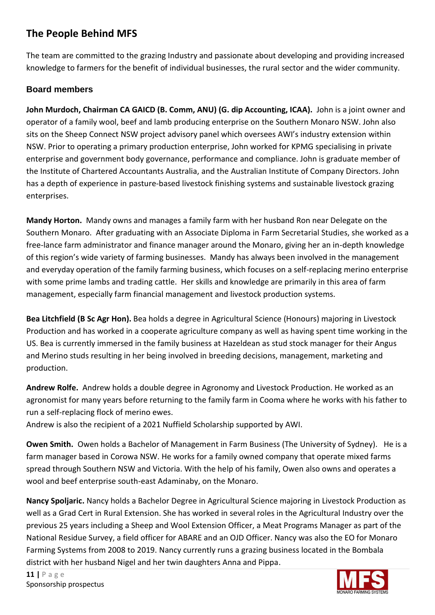# **The People Behind MFS**

The team are committed to the grazing Industry and passionate about developing and providing increased knowledge to farmers for the benefit of individual businesses, the rural sector and the wider community.

# **Board members**

**John Murdoch, Chairman CA GAICD (B. Comm, ANU) (G. dip Accounting, ICAA).** John is a joint owner and operator of a family wool, beef and lamb producing enterprise on the Southern Monaro NSW. John also sits on the Sheep Connect NSW project advisory panel which oversees AWI's industry extension within NSW. Prior to operating a primary production enterprise, John worked for KPMG specialising in private enterprise and government body governance, performance and compliance. John is graduate member of the Institute of Chartered Accountants Australia, and the Australian Institute of Company Directors. John has a depth of experience in pasture-based livestock finishing systems and sustainable livestock grazing enterprises.

**Mandy Horton.** Mandy owns and manages a family farm with her husband Ron near Delegate on the Southern Monaro. After graduating with an Associate Diploma in Farm Secretarial Studies, she worked as a free-lance farm administrator and finance manager around the Monaro, giving her an in-depth knowledge of this region's wide variety of farming businesses. Mandy has always been involved in the management and everyday operation of the family farming business, which focuses on a self-replacing merino enterprise with some prime lambs and trading cattle. Her skills and knowledge are primarily in this area of farm management, especially farm financial management and livestock production systems.

**Bea Litchfield (B Sc Agr Hon).** Bea holds a degree in Agricultural Science (Honours) majoring in Livestock Production and has worked in a cooperate agriculture company as well as having spent time working in the US. Bea is currently immersed in the family business at Hazeldean as stud stock manager for their Angus and Merino studs resulting in her being involved in breeding decisions, management, marketing and production.

**Andrew Rolfe.** Andrew holds a double degree in Agronomy and Livestock Production. He worked as an agronomist for many years before returning to the family farm in Cooma where he works with his father to run a self-replacing flock of merino ewes.

Andrew is also the recipient of a 2021 Nuffield Scholarship supported by AWI.

**Owen Smith.** Owen holds a Bachelor of Management in Farm Business (The University of Sydney). He is a farm manager based in Corowa NSW. He works for a family owned company that operate mixed farms spread through Southern NSW and Victoria. With the help of his family, Owen also owns and operates a wool and beef enterprise south-east Adaminaby, on the Monaro.

**Nancy Spoljaric.** Nancy holds a Bachelor Degree in Agricultural Science majoring in Livestock Production as well as a Grad Cert in Rural Extension. She has worked in several roles in the Agricultural Industry over the previous 25 years including a Sheep and Wool Extension Officer, a Meat Programs Manager as part of the National Residue Survey, a field officer for ABARE and an OJD Officer. Nancy was also the EO for Monaro Farming Systems from 2008 to 2019. Nancy currently runs a grazing business located in the Bombala district with her husband Nigel and her twin daughters Anna and Pippa.